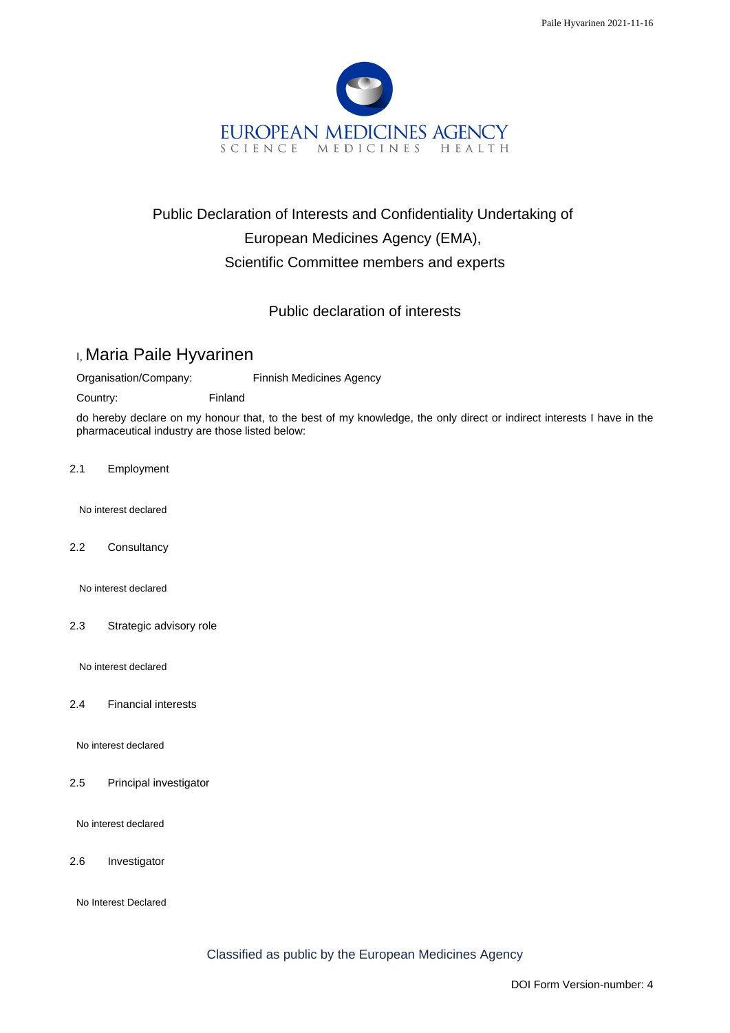

## Public Declaration of Interests and Confidentiality Undertaking of European Medicines Agency (EMA), Scientific Committee members and experts

## Public declaration of interests

## I, Maria Paile Hyvarinen

Organisation/Company: Finnish Medicines Agency

Country: Finland

do hereby declare on my honour that, to the best of my knowledge, the only direct or indirect interests I have in the pharmaceutical industry are those listed below:

2.1 Employment

No interest declared

2.2 Consultancy

No interest declared

2.3 Strategic advisory role

No interest declared

2.4 Financial interests

No interest declared

2.5 Principal investigator

No interest declared

2.6 Investigator

No Interest Declared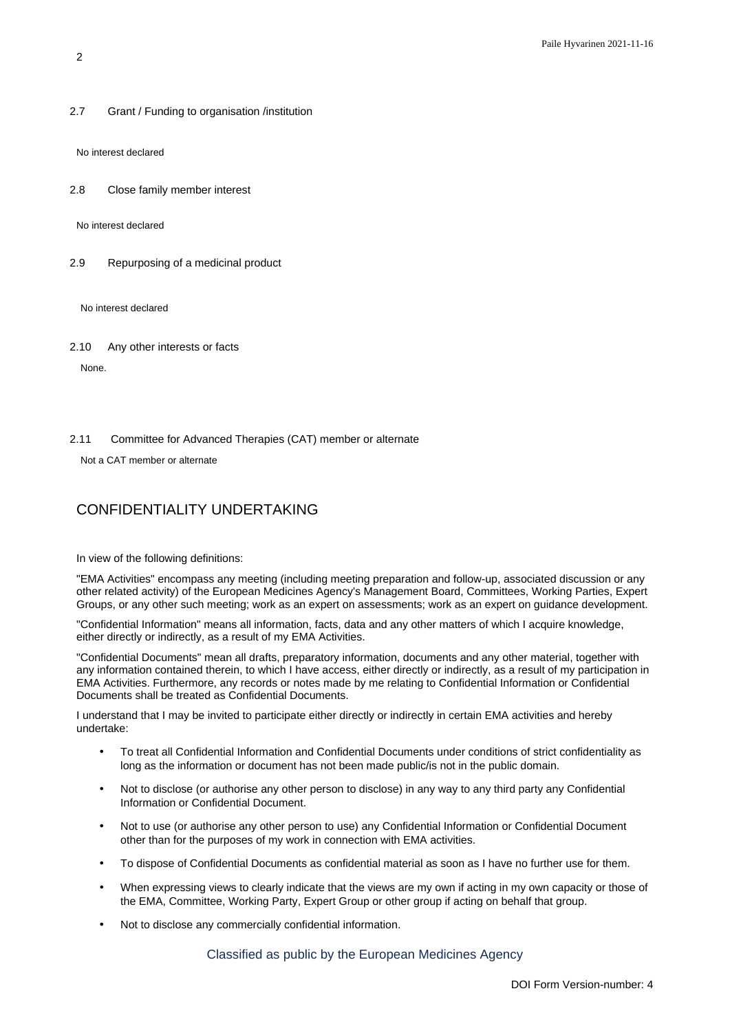2.7 Grant / Funding to organisation /institution

No interest declared

2.8 Close family member interest

No interest declared

2.9 Repurposing of a medicinal product

No interest declared

2.10 Any other interests or facts

None.

2.11 Committee for Advanced Therapies (CAT) member or alternate

Not a CAT member or alternate

## CONFIDENTIALITY UNDERTAKING

In view of the following definitions:

"EMA Activities" encompass any meeting (including meeting preparation and follow-up, associated discussion or any other related activity) of the European Medicines Agency's Management Board, Committees, Working Parties, Expert Groups, or any other such meeting; work as an expert on assessments; work as an expert on guidance development.

"Confidential Information" means all information, facts, data and any other matters of which I acquire knowledge, either directly or indirectly, as a result of my EMA Activities.

"Confidential Documents" mean all drafts, preparatory information, documents and any other material, together with any information contained therein, to which I have access, either directly or indirectly, as a result of my participation in EMA Activities. Furthermore, any records or notes made by me relating to Confidential Information or Confidential Documents shall be treated as Confidential Documents.

I understand that I may be invited to participate either directly or indirectly in certain EMA activities and hereby undertake:

- To treat all Confidential Information and Confidential Documents under conditions of strict confidentiality as long as the information or document has not been made public/is not in the public domain.
- Not to disclose (or authorise any other person to disclose) in any way to any third party any Confidential Information or Confidential Document.
- Not to use (or authorise any other person to use) any Confidential Information or Confidential Document other than for the purposes of my work in connection with EMA activities.
- To dispose of Confidential Documents as confidential material as soon as I have no further use for them.
- When expressing views to clearly indicate that the views are my own if acting in my own capacity or those of the EMA, Committee, Working Party, Expert Group or other group if acting on behalf that group.
- Not to disclose any commercially confidential information.

Classified as public by the European Medicines Agency